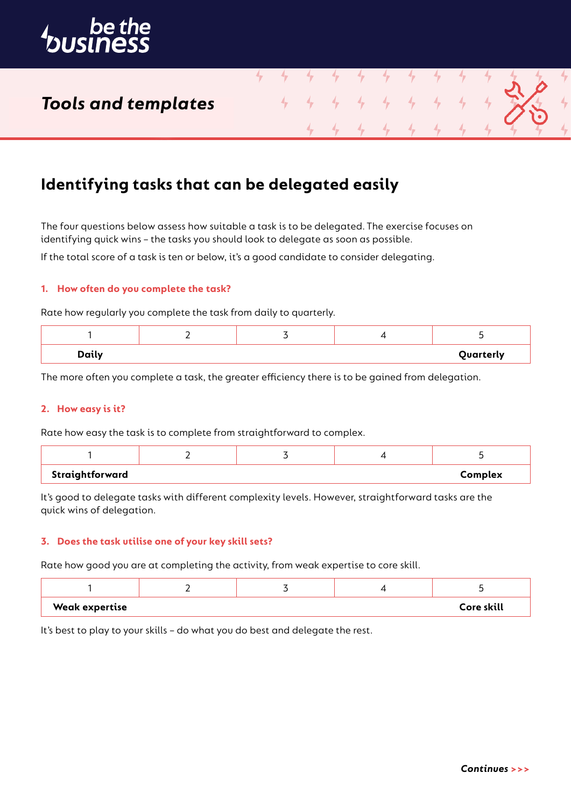

# *Tools and templates*

# **Identifying tasks that can be delegated easily**

The four questions below assess how suitable a task is to be delegated. The exercise focuses on identifying quick wins – the tasks you should look to delegate as soon as possible.

4

If the total score of a task is ten or below, it's a good candidate to consider delegating.

## **1. How often do you complete the task?**

Rate how regularly you complete the task from daily to quarterly.

| <b>Daily</b> |  | Quarterly |
|--------------|--|-----------|

The more often you complete a task, the greater efficiency there is to be gained from delegation.

### **2. How easy is it?**

Rate how easy the task is to complete from straightforward to complex.

| Straightforward |  | Complex |
|-----------------|--|---------|

It's good to delegate tasks with different complexity levels. However, straightforward tasks are the quick wins of delegation.

#### **3. Does the task utilise one of your key skill sets?**

Rate how good you are at completing the activity, from weak expertise to core skill.

| <b>Weak expertise</b> |  | Core skill |
|-----------------------|--|------------|

It's best to play to your skills – do what you do best and delegate the rest.